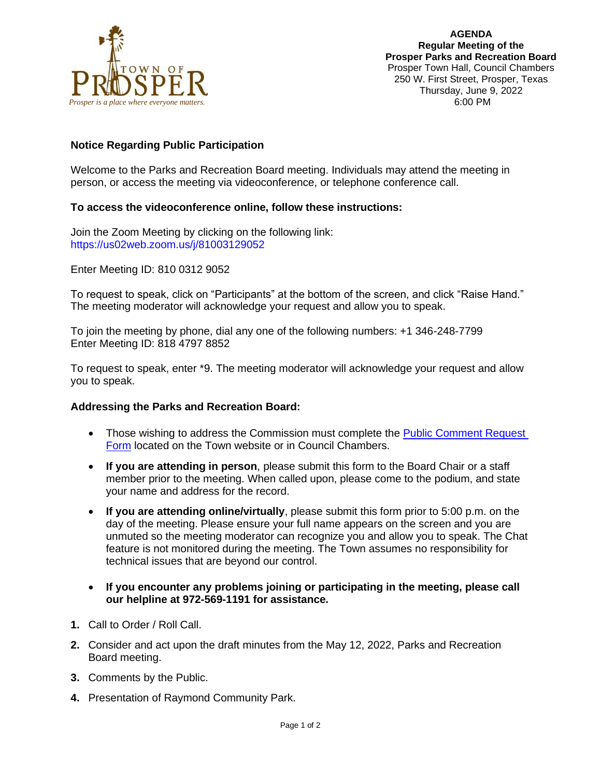

# **Notice Regarding Public Participation**

Welcome to the Parks and Recreation Board meeting. Individuals may attend the meeting in person, or access the meeting via videoconference, or telephone conference call.

### **To access the videoconference online, follow these instructions:**

Join the Zoom Meeting by clicking on the following link: https://us02web.zoom.us/j/81003129052

Enter Meeting ID: 810 0312 9052

To request to speak, click on "Participants" at the bottom of the screen, and click "Raise Hand." The meeting moderator will acknowledge your request and allow you to speak.

To join the meeting by phone, dial any one of the following numbers: +1 346-248-7799 Enter Meeting ID: 818 4797 8852

To request to speak, enter \*9. The meeting moderator will acknowledge your request and allow you to speak.

#### **Addressing the Parks and Recreation Board:**

- Those wishing to address the Commission must complete the Public Comment Request [Form](https://lf.prospertx.gov/Forms/PCRF) located on the Town website or in Council Chambers.
- **If you are attending in person**, please submit this form to the Board Chair or a staff member prior to the meeting. When called upon, please come to the podium, and state your name and address for the record.
- **If you are attending online/virtually**, please submit this form prior to 5:00 p.m. on the day of the meeting. Please ensure your full name appears on the screen and you are unmuted so the meeting moderator can recognize you and allow you to speak. The Chat feature is not monitored during the meeting. The Town assumes no responsibility for technical issues that are beyond our control.
- **If you encounter any problems joining or participating in the meeting, please call our helpline at 972-569-1191 for assistance.**
- **1.** Call to Order / Roll Call.
- **2.** Consider and act upon the draft minutes from the May 12, 2022, Parks and Recreation Board meeting.
- **3.** Comments by the Public.
- **4.** Presentation of Raymond Community Park.